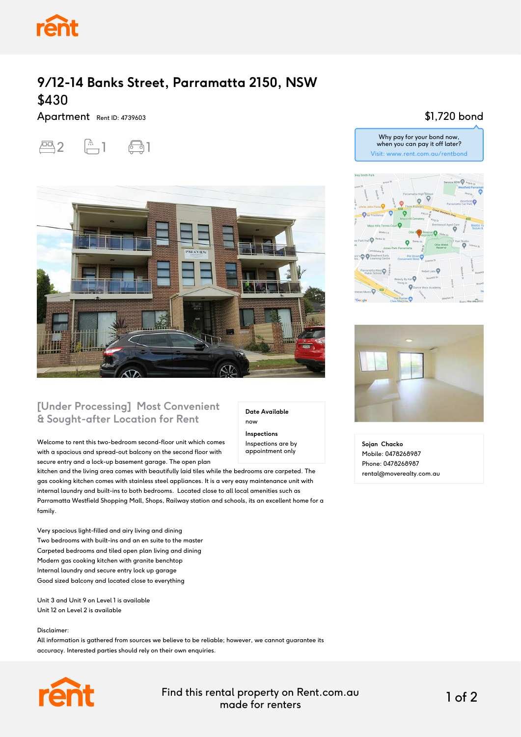

# **9/12-14 Banks Street, Parramatta 2150, NSW** \$430

Apartment Rent ID: 4739603





### **[Under Processing] Most Convenient & Sought-after Location for Rent**

Welcome to rent this two-bedroom second-floor unit which comes with a spacious and spread-out balcony on the second floor with secure entry and a lock-up basement garage. The open plan

kitchen and the living area comes with beautifully laid tiles while the bedrooms are carpeted. The gas cooking kitchen comes with stainless steel appliances. It is a very easy maintenance unit with internal laundry and built-ins to both bedrooms. Located close to all local amenities such as Parramatta Westfield Shopping Mall, Shops, Railway station and schools, its an excellent home for a family.

Very spacious light-filled and airy living and dining Two bedrooms with built-ins and an en suite to the master Carpeted bedrooms and tiled open plan living and dining Modern gas cooking kitchen with granite benchtop Internal laundry and secure entry lock up garage Good sized balcony and located close to everything

Unit 3 and Unit 9 on Level 1 is available Unit 12 on Level 2 is available

Disclaimer:

All information is gathered from sources we believe to be reliable; however, we cannot guarantee its accuracy. Interested parties should rely on their own enquiries.



Find this rental property on Rent.com.au made for renters 1 of 2

**Date Available**

now **Inspections** Inspections are by appointment only

#### \$1,720 bond





**Sojan Chacko** Mobile: 0478268987 Phone: 0478268987 rental@moverealty.com.au